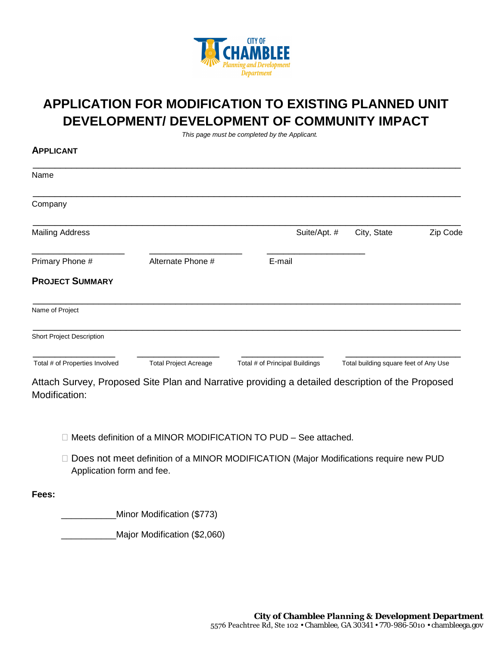

## **APPLICATION FOR MODIFICATION TO EXISTING PLANNED UNIT DEVELOPMENT/ DEVELOPMENT OF COMMUNITY IMPACT**

*This page must be completed by the Applicant.*

| U LUMI                         |                              |                                |                                       |          |
|--------------------------------|------------------------------|--------------------------------|---------------------------------------|----------|
| Name                           |                              |                                |                                       |          |
| Company                        |                              |                                |                                       |          |
| <b>Mailing Address</b>         |                              | Suite/Apt. #                   | City, State                           | Zip Code |
| Primary Phone #                | Alternate Phone #            | E-mail                         |                                       |          |
| <b>PROJECT SUMMARY</b>         |                              |                                |                                       |          |
| Name of Project                |                              |                                |                                       |          |
| Short Project Description      |                              |                                |                                       |          |
| Total # of Properties Involved | <b>Total Project Acreage</b> | Total # of Principal Buildings | Total building square feet of Any Use |          |

Attach Survey, Proposed Site Plan and Narrative providing a detailed description of the Proposed Modification:

- $\Box$  Meets definition of a MINOR MODIFICATION TO PUD See attached.
- □ Does not meet definition of a MINOR MODIFICATION (Major Modifications require new PUD Application form and fee.

**Fees:**

**APPLICANT**

\_\_\_\_\_\_\_\_\_\_\_Minor Modification (\$773)

\_\_\_\_\_\_\_\_\_\_\_Major Modification (\$2,060)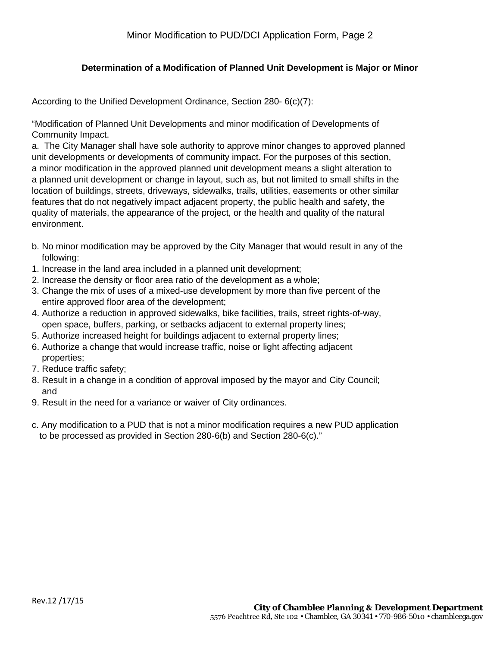## **Determination of a Modification of Planned Unit Development is Major or Minor**

According to the Unified Development Ordinance, Section 280- 6(c)(7):

"Modification of Planned Unit Developments and minor modification of Developments of Community Impact.

a. The City Manager shall have sole authority to approve minor changes to approved planned unit developments or developments of community impact. For the purposes of this section, a minor modification in the approved planned unit development means a slight alteration to a planned unit development or change in layout, such as, but not limited to small shifts in the location of buildings, streets, driveways, sidewalks, trails, utilities, easements or other similar features that do not negatively impact adjacent property, the public health and safety, the quality of materials, the appearance of the project, or the health and quality of the natural environment.

- b. No minor modification may be approved by the City Manager that would result in any of the following:
- 1. Increase in the land area included in a planned unit development;
- 2. Increase the density or floor area ratio of the development as a whole;
- 3. Change the mix of uses of a mixed-use development by more than five percent of the entire approved floor area of the development;
- 4. Authorize a reduction in approved sidewalks, bike facilities, trails, street rights-of-way, open space, buffers, parking, or setbacks adjacent to external property lines;
- 5. Authorize increased height for buildings adjacent to external property lines;
- 6. Authorize a change that would increase traffic, noise or light affecting adjacent properties;
- 7. Reduce traffic safety;
- 8. Result in a change in a condition of approval imposed by the mayor and City Council; and
- 9. Result in the need for a variance or waiver of City ordinances.
- c. Any modification to a PUD that is not a minor modification requires a new PUD application to be processed as provided in Section 280-6(b) and Section 280-6(c)."